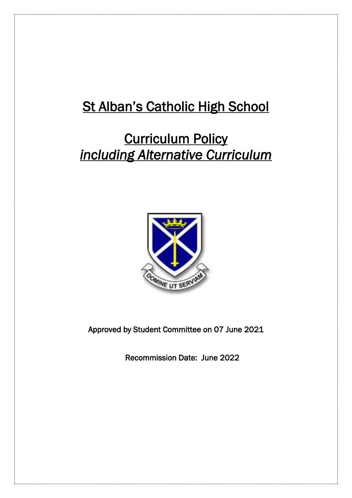# **St Alban's Catholic High School**

# **Curriculum Policy** *including Alternative Curriculum*



Approved by Student Committee on 07 June 2021

Recommission Date: June 2022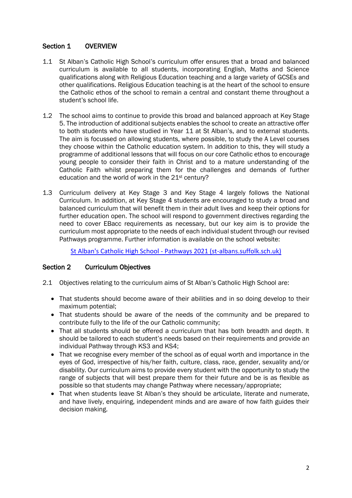## Section 1 OVERVIEW

- 1.1 St Alban's Catholic High School's curriculum offer ensures that a broad and balanced curriculum is available to all students, incorporating English, Maths and Science qualifications along with Religious Education teaching and a large variety of GCSEs and other qualifications. Religious Education teaching is at the heart of the school to ensure the Catholic ethos of the school to remain a central and constant theme throughout a student's school life.
- 1.2 The school aims to continue to provide this broad and balanced approach at Key Stage 5. The introduction of additional subjects enables the school to create an attractive offer to both students who have studied in Year 11 at St Alban's, and to external students. The aim is focussed on allowing students, where possible, to study the A Level courses they choose within the Catholic education system. In addition to this, they will study a programme of additional lessons that will focus on our core Catholic ethos to encourage young people to consider their faith in Christ and to a mature understanding of the Catholic Faith whilst preparing them for the challenges and demands of further education and the world of work in the 21<sup>st</sup> century?
- 1.3 Curriculum delivery at Key Stage 3 and Key Stage 4 largely follows the National Curriculum. In addition, at Key Stage 4 students are encouraged to study a broad and balanced curriculum that will benefit them in their adult lives and keep their options for further education open. The school will respond to government directives regarding the need to cover EBacc requirements as necessary, but our key aim is to provide the curriculum most appropriate to the needs of each individual student through our revised Pathways programme. Further information is available on the school website:

St Alban's Catholic High School - [Pathways 2021 \(st-albans.suffolk.sch.uk\)](https://www.st-albans.suffolk.sch.uk/page/?title=Pathways+2021&pid=40)

### Section 2 Curriculum Objectives

- 2.1 Objectives relating to the curriculum aims of St Alban's Catholic High School are:
	- That students should become aware of their abilities and in so doing develop to their maximum potential;
	- That students should be aware of the needs of the community and be prepared to contribute fully to the life of the our Catholic community;
	- That all students should be offered a curriculum that has both breadth and depth. It should be tailored to each student's needs based on their requirements and provide an individual Pathway through KS3 and KS4;
	- That we recognise every member of the school as of equal worth and importance in the eyes of God, irrespective of his/her faith, culture, class, race, gender, sexuality and/or disability. Our curriculum aims to provide every student with the opportunity to study the range of subjects that will best prepare them for their future and be is as flexible as possible so that students may change Pathway where necessary/appropriate;
	- That when students leave St Alban's they should be articulate, literate and numerate, and have lively, enquiring, independent minds and are aware of how faith guides their decision making.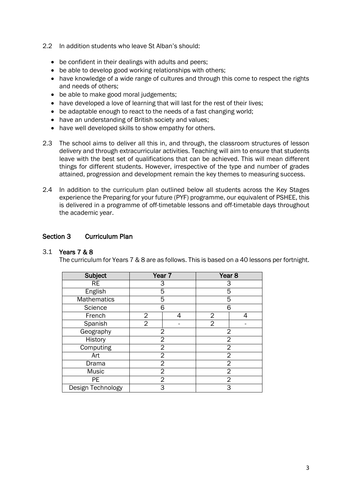- 2.2 In addition students who leave St Alban's should:
	- be confident in their dealings with adults and peers;
	- be able to develop good working relationships with others;
	- have knowledge of a wide range of cultures and through this come to respect the rights and needs of others;
	- be able to make good moral judgements;
	- have developed a love of learning that will last for the rest of their lives:
	- be adaptable enough to react to the needs of a fast changing world;
	- have an understanding of British society and values;
	- have well developed skills to show empathy for others.
- 2.3 The school aims to deliver all this in, and through, the classroom structures of lesson delivery and through extracurricular activities. Teaching will aim to ensure that students leave with the best set of qualifications that can be achieved. This will mean different things for different students. However, irrespective of the type and number of grades attained, progression and development remain the key themes to measuring success.
- 2.4 In addition to the curriculum plan outlined below all students across the Key Stages experience the Preparing for your future (PYF) programme, our equivalent of PSHEE, this is delivered in a programme of off-timetable lessons and off-timetable days throughout the academic year.

## Section 3 Curriculum Plan

### 3.1 Years 7 & 8

The curriculum for Years 7 & 8 are as follows. This is based on a 40 lessons per fortnight.

| <b>Subject</b>     | Year <sub>7</sub> |   | Year <sub>8</sub> |   |
|--------------------|-------------------|---|-------------------|---|
| <b>RE</b>          | 3                 |   | 3                 |   |
| English            | 5                 |   | 5                 |   |
| <b>Mathematics</b> | 5                 |   | 5                 |   |
| Science            | 6                 |   | 6                 |   |
| French             | $\overline{2}$    | 4 | 2                 | 4 |
| Spanish            | $\overline{2}$    |   | $\overline{2}$    |   |
| Geography          | $\overline{2}$    |   | 2                 |   |
| History            | $\overline{2}$    |   | $\overline{2}$    |   |
| Computing          | 2                 |   | $\overline{2}$    |   |
| Art                | 2                 |   | $\overline{2}$    |   |
| Drama              | 2                 |   | $\overline{2}$    |   |
| Music              | 2                 |   | $\overline{2}$    |   |
| <b>PE</b>          | 2                 |   | 2                 |   |
| Design Technology  | 3                 |   | 3                 |   |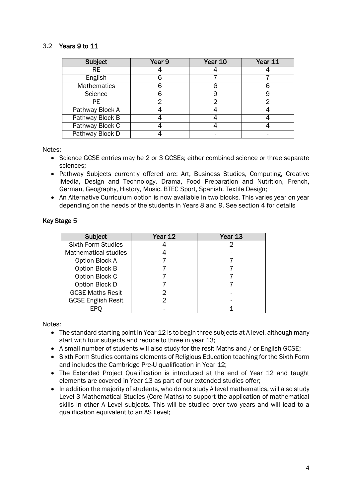### 3.2 Years 9 to 11

| Subject            | Year 9 | Year 10 | Year 11 |
|--------------------|--------|---------|---------|
| <b>RE</b>          |        |         |         |
| English            |        |         |         |
| <b>Mathematics</b> |        |         |         |
| Science            |        |         |         |
| PE.                |        |         | っ       |
| Pathway Block A    |        |         |         |
| Pathway Block B    |        |         |         |
| Pathway Block C    |        |         |         |
| Pathway Block D    |        |         |         |

Notes:

- Science GCSE entries may be 2 or 3 GCSEs; either combined science or three separate sciences;
- Pathway Subjects currently offered are: Art, Business Studies, Computing, Creative iMedia, Design and Technology, Drama, Food Preparation and Nutrition, French, German, Geography, History, Music, BTEC Sport, Spanish, Textile Design;
- An Alternative Curriculum option is now available in two blocks. This varies year on year depending on the needs of the students in Years 8 and 9. See section 4 for details

| Subject                     | Year 12 | Year 13 |  |
|-----------------------------|---------|---------|--|
| <b>Sixth Form Studies</b>   |         |         |  |
| <b>Mathematical studies</b> |         |         |  |
| Option Block A              |         |         |  |
| Option Block B              |         |         |  |
| Option Block C              |         |         |  |
| Option Block D              |         |         |  |
| <b>GCSE Maths Resit</b>     |         |         |  |
| <b>GCSE English Resit</b>   | າ       |         |  |
| FP)                         |         |         |  |

#### Key Stage 5

Notes:

- The standard starting point in Year 12 is to begin three subjects at A level, although many start with four subjects and reduce to three in year 13;
- A small number of students will also study for the resit Maths and / or English GCSE;
- Sixth Form Studies contains elements of Religious Education teaching for the Sixth Form and includes the Cambridge Pre-U qualification in Year 12;
- The Extended Project Oualification is introduced at the end of Year 12 and taught elements are covered in Year 13 as part of our extended studies offer;
- In addition the majority of students, who do not study A level mathematics, will also study Level 3 Mathematical Studies (Core Maths) to support the application of mathematical skills in other A Level subjects. This will be studied over two years and will lead to a qualification equivalent to an AS Level;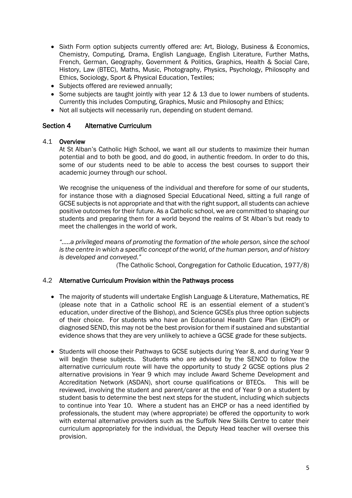- Sixth Form option subjects currently offered are: Art, Biology, Business & Economics, Chemistry, Computing, Drama, English Language, English Literature, Further Maths, French, German, Geography, Government & Politics, Graphics, Health & Social Care, History, Law (BTEC), Maths, Music, Photography, Physics, Psychology, Philosophy and Ethics, Sociology, Sport & Physical Education, Textiles;
- Subjects offered are reviewed annually;
- Some subjects are taught jointly with year 12 & 13 due to lower numbers of students. Currently this includes Computing, Graphics, Music and Philosophy and Ethics;
- Not all subjects will necessarily run, depending on student demand.

#### Section 4 Alternative Curriculum

#### 4.1 Overview

At St Alban's Catholic High School, we want all our students to maximize their human potential and to both be good, and do good, in authentic freedom. In order to do this, some of our students need to be able to access the best courses to support their academic journey through our school.

We recognise the uniqueness of the individual and therefore for some of our students, for instance those with a diagnosed Special Educational Need, sitting a full range of GCSE subjects is not appropriate and that with the right support, all students can achieve positive outcomes for their future. As a Catholic school, we are committed to shaping our students and preparing them for a world beyond the realms of St Alban's but ready to meet the challenges in the world of work.

*"…..a privileged means of promoting the formation of the whole person, since the school is the centre in which a specific concept of the world, of the human person, and of history is developed and conveyed."* 

(The Catholic School, Congregation for Catholic Education, 1977/8)

#### 4.2 Alternative Curriculum Provision within the Pathways process

- The majority of students will undertake English Language & Literature, Mathematics, RE (please note that in a Catholic school RE is an essential element of a student's education, under directive of the Bishop), and Science GCSEs plus three option subjects of their choice. For students who have an Educational Health Care Plan (EHCP) or diagnosed SEND, this may not be the best provision for them if sustained and substantial evidence shows that they are very unlikely to achieve a GCSE grade for these subjects.
- Students will choose their Pathways to GCSE subjects during Year 8, and during Year 9 will begin these subjects. Students who are advised by the SENCO to follow the alternative curriculum route will have the opportunity to study 2 GCSE options plus 2 alternative provisions in Year 9 which may include Award Scheme Development and Accreditation Network (ASDAN), short course qualifications or BTECs. This will be reviewed, involving the student and parent/carer at the end of Year 9 on a student by student basis to determine the best next steps for the student, including which subjects to continue into Year 10. Where a student has an EHCP or has a need identified by professionals, the student may (where appropriate) be offered the opportunity to work with external alternative providers such as the Suffolk New Skills Centre to cater their curriculum appropriately for the individual, the Deputy Head teacher will oversee this provision.